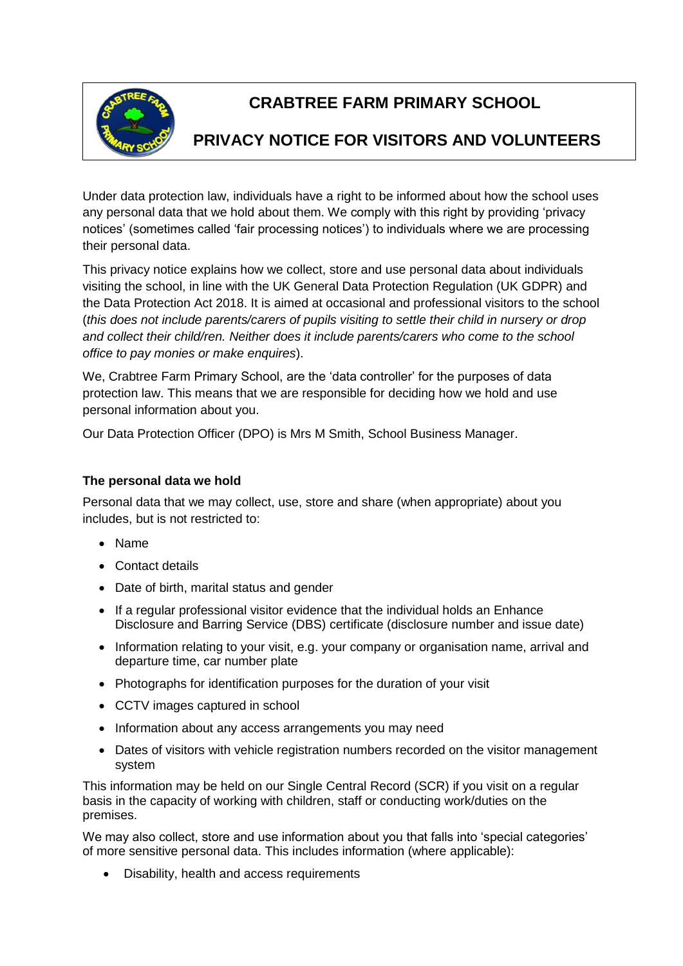

# **CRABTREE FARM PRIMARY SCHOOL**

## **PRIVACY NOTICE FOR VISITORS AND VOLUNTEERS**

Under data protection law, individuals have a right to be informed about how the school uses any personal data that we hold about them. We comply with this right by providing 'privacy notices' (sometimes called 'fair processing notices') to individuals where we are processing their personal data.

This privacy notice explains how we collect, store and use personal data about individuals visiting the school, in line with the UK General Data Protection Regulation (UK GDPR) and the Data Protection Act 2018. It is aimed at occasional and professional visitors to the school (*this does not include parents/carers of pupils visiting to settle their child in nursery or drop and collect their child/ren. Neither does it include parents/carers who come to the school office to pay monies or make enquires*).

We, Crabtree Farm Primary School, are the 'data controller' for the purposes of data protection law. This means that we are responsible for deciding how we hold and use personal information about you.

Our Data Protection Officer (DPO) is Mrs M Smith, School Business Manager.

## **The personal data we hold**

Personal data that we may collect, use, store and share (when appropriate) about you includes, but is not restricted to:

- Name
- Contact details
- Date of birth, marital status and gender
- If a regular professional visitor evidence that the individual holds an Enhance Disclosure and Barring Service (DBS) certificate (disclosure number and issue date)
- Information relating to your visit, e.g. your company or organisation name, arrival and departure time, car number plate
- Photographs for identification purposes for the duration of your visit
- CCTV images captured in school
- Information about any access arrangements you may need
- Dates of visitors with vehicle registration numbers recorded on the visitor management system

This information may be held on our Single Central Record (SCR) if you visit on a regular basis in the capacity of working with children, staff or conducting work/duties on the premises.

We may also collect, store and use information about you that falls into 'special categories' of more sensitive personal data. This includes information (where applicable):

• Disability, health and access requirements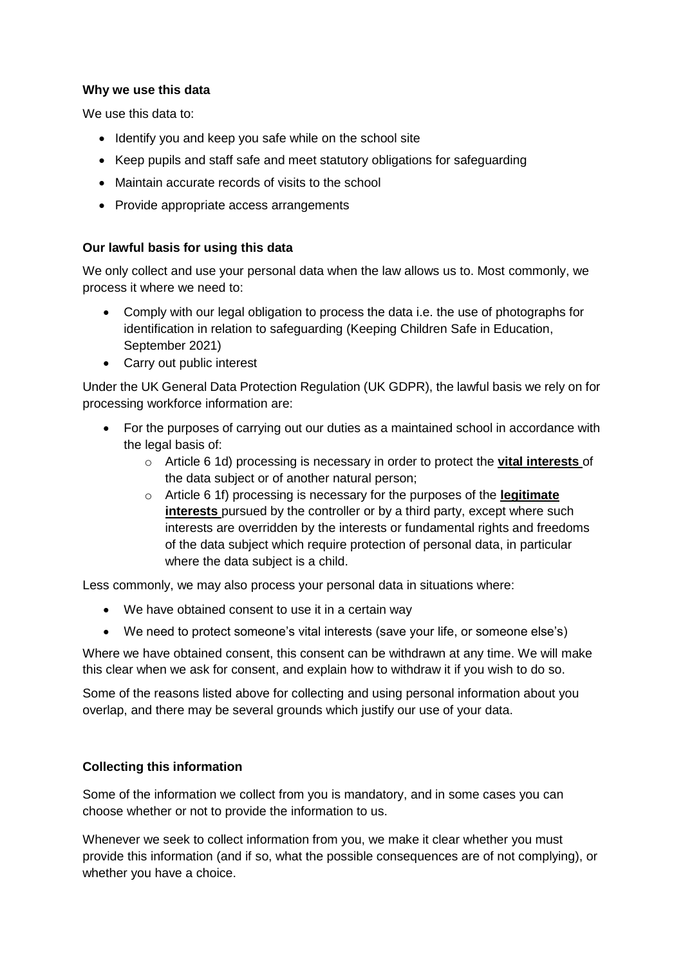## **Why we use this data**

We use this data to:

- Identify you and keep you safe while on the school site
- Keep pupils and staff safe and meet statutory obligations for safeguarding
- Maintain accurate records of visits to the school
- Provide appropriate access arrangements

## **Our lawful basis for using this data**

We only collect and use your personal data when the law allows us to. Most commonly, we process it where we need to:

- Comply with our legal obligation to process the data i.e. the use of photographs for identification in relation to safeguarding (Keeping Children Safe in Education, September 2021)
- Carry out public interest

Under the UK General Data Protection Regulation (UK GDPR), the lawful basis we rely on for processing workforce information are:

- For the purposes of carrying out our duties as a maintained school in accordance with the legal basis of:
	- o Article 6 1d) processing is necessary in order to protect the **vital interests** of the data subject or of another natural person;
	- o Article 6 1f) processing is necessary for the purposes of the **legitimate interests** pursued by the controller or by a third party, except where such interests are overridden by the interests or fundamental rights and freedoms of the data subject which require protection of personal data, in particular where the data subject is a child.

Less commonly, we may also process your personal data in situations where:

- We have obtained consent to use it in a certain way
- We need to protect someone's vital interests (save your life, or someone else's)

Where we have obtained consent, this consent can be withdrawn at any time. We will make this clear when we ask for consent, and explain how to withdraw it if you wish to do so.

Some of the reasons listed above for collecting and using personal information about you overlap, and there may be several grounds which justify our use of your data.

## **Collecting this information**

Some of the information we collect from you is mandatory, and in some cases you can choose whether or not to provide the information to us.

Whenever we seek to collect information from you, we make it clear whether you must provide this information (and if so, what the possible consequences are of not complying), or whether you have a choice.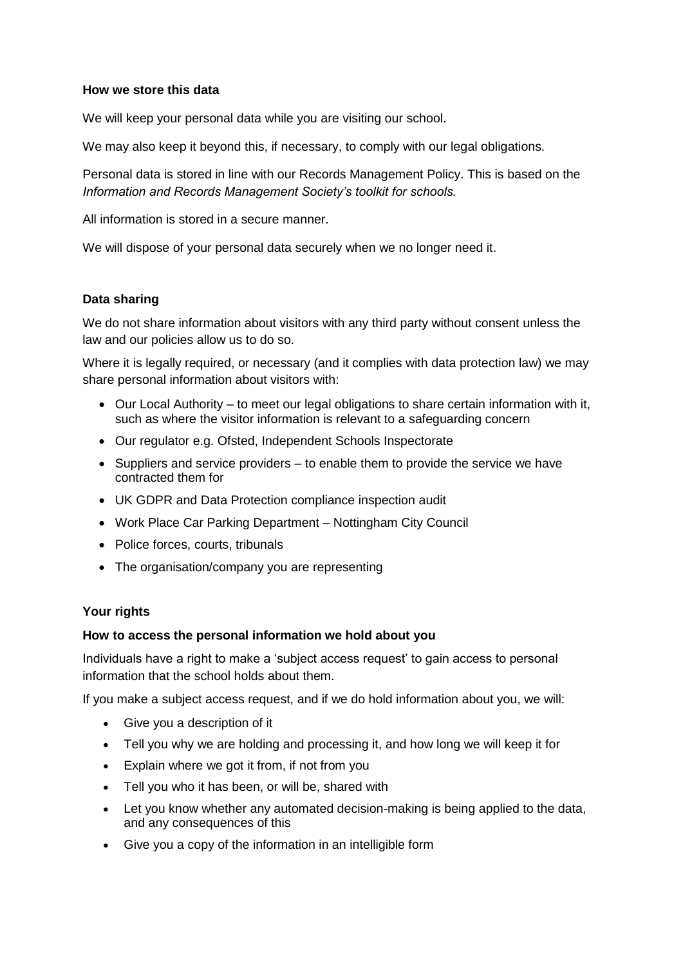#### **How we store this data**

We will keep your personal data while you are visiting our school.

We may also keep it beyond this, if necessary, to comply with our legal obligations.

Personal data is stored in line with our Records Management Policy. This is based on the *Information and Records Management Society's toolkit for schools.*

All information is stored in a secure manner.

We will dispose of your personal data securely when we no longer need it.

#### **Data sharing**

We do not share information about visitors with any third party without consent unless the law and our policies allow us to do so.

Where it is legally required, or necessary (and it complies with data protection law) we may share personal information about visitors with:

- Our Local Authority to meet our legal obligations to share certain information with it, such as where the visitor information is relevant to a safeguarding concern
- Our regulator e.g. Ofsted, Independent Schools Inspectorate
- Suppliers and service providers to enable them to provide the service we have contracted them for
- UK GDPR and Data Protection compliance inspection audit
- Work Place Car Parking Department Nottingham City Council
- Police forces, courts, tribunals
- The organisation/company you are representing

### **Your rights**

#### **How to access the personal information we hold about you**

Individuals have a right to make a 'subject access request' to gain access to personal information that the school holds about them.

If you make a subject access request, and if we do hold information about you, we will:

- Give you a description of it
- Tell you why we are holding and processing it, and how long we will keep it for
- Explain where we got it from, if not from you
- Tell you who it has been, or will be, shared with
- Let you know whether any automated decision-making is being applied to the data, and any consequences of this
- Give you a copy of the information in an intelligible form